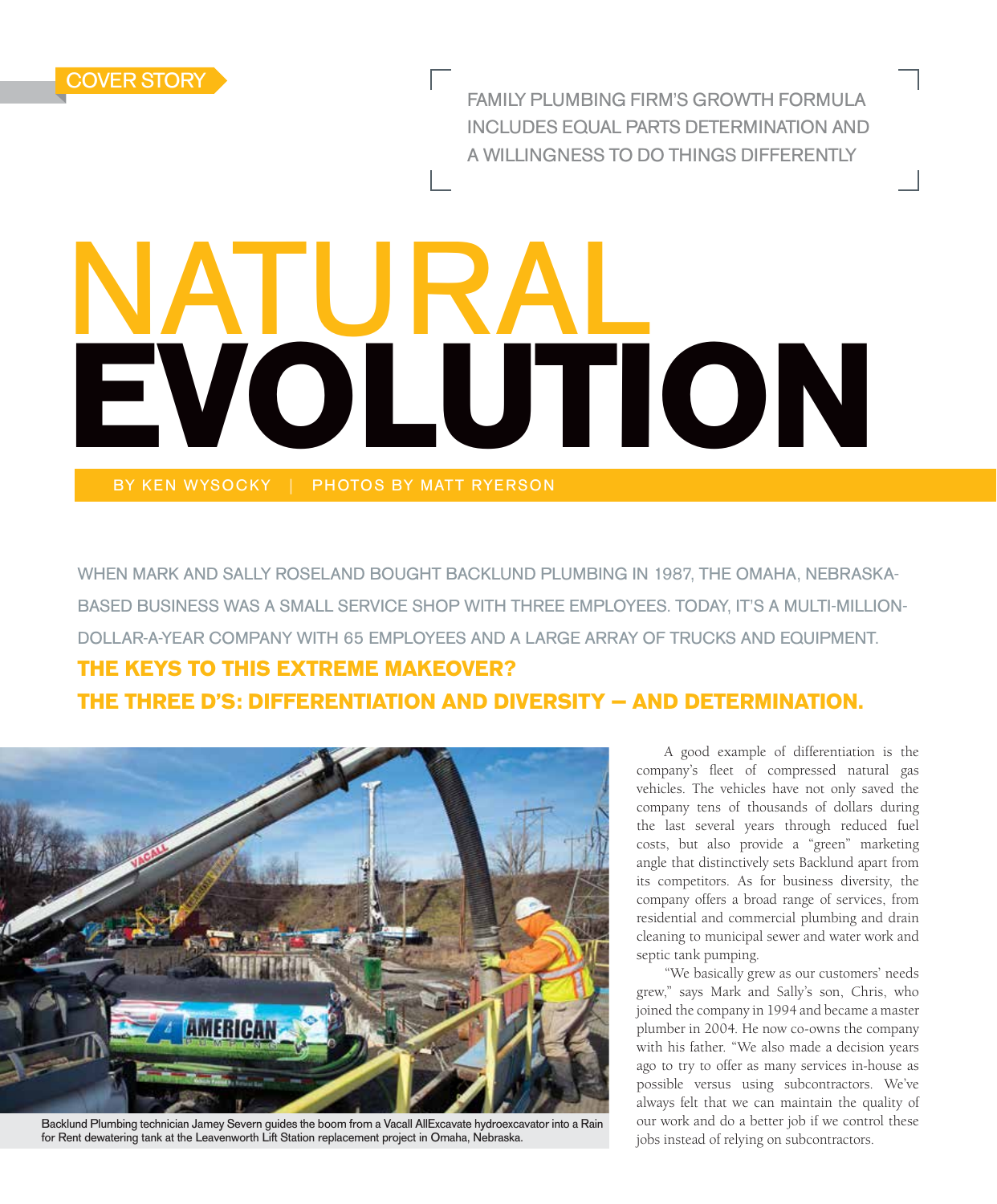

FAMILY PLUMBING FIRM'S GROWTH FORMULA INCLUDES EQUAL PARTS DETERMINATION AND A WILLINGNESS TO DO THINGS DIFFERENTLY

# **EVOLUTION** VATURA

BY KEN WYSOCKY | PHOTOS BY MATT RYERSON

WHEN MARK AND SALLY ROSELAND BOUGHT BACKLUND PLUMBING IN 1987, THE OMAHA, NEBRASKA-BASED BUSINESS WAS A SMALL SERVICE SHOP WITH THREE EMPLOYEES. TODAY, IT'S A MULTI-MILLION-DOLLAR-A-YEAR COMPANY WITH 65 EMPLOYEES AND A LARGE ARRAY OF TRUCKS AND EQUIPMENT.

## **THE KEYS TO THIS EXTREME MAKEOVER? THE THREE D'S: DIFFERENTIATION AND DIVERSITY — AND DETERMINATION.**



Backlund Plumbing technician Jamey Severn guides the boom from a Vacall AllExcavate hydroexcavator into a Rain for Rent dewatering tank at the Leavenworth Lift Station replacement project in Omaha, Nebraska.

A good example of differentiation is the company's fleet of compressed natural gas vehicles. The vehicles have not only saved the company tens of thousands of dollars during the last several years through reduced fuel costs, but also provide a "green" marketing angle that distinctively sets Backlund apart from its competitors. As for business diversity, the company offers a broad range of services, from residential and commercial plumbing and drain cleaning to municipal sewer and water work and septic tank pumping.

"We basically grew as our customers' needs grew," says Mark and Sally's son, Chris, who joined the company in 1994 and became a master plumber in 2004. He now co-owns the company with his father. "We also made a decision years ago to try to offer as many services in-house as possible versus using subcontractors. We've always felt that we can maintain the quality of our work and do a better job if we control these jobs instead of relying on subcontractors.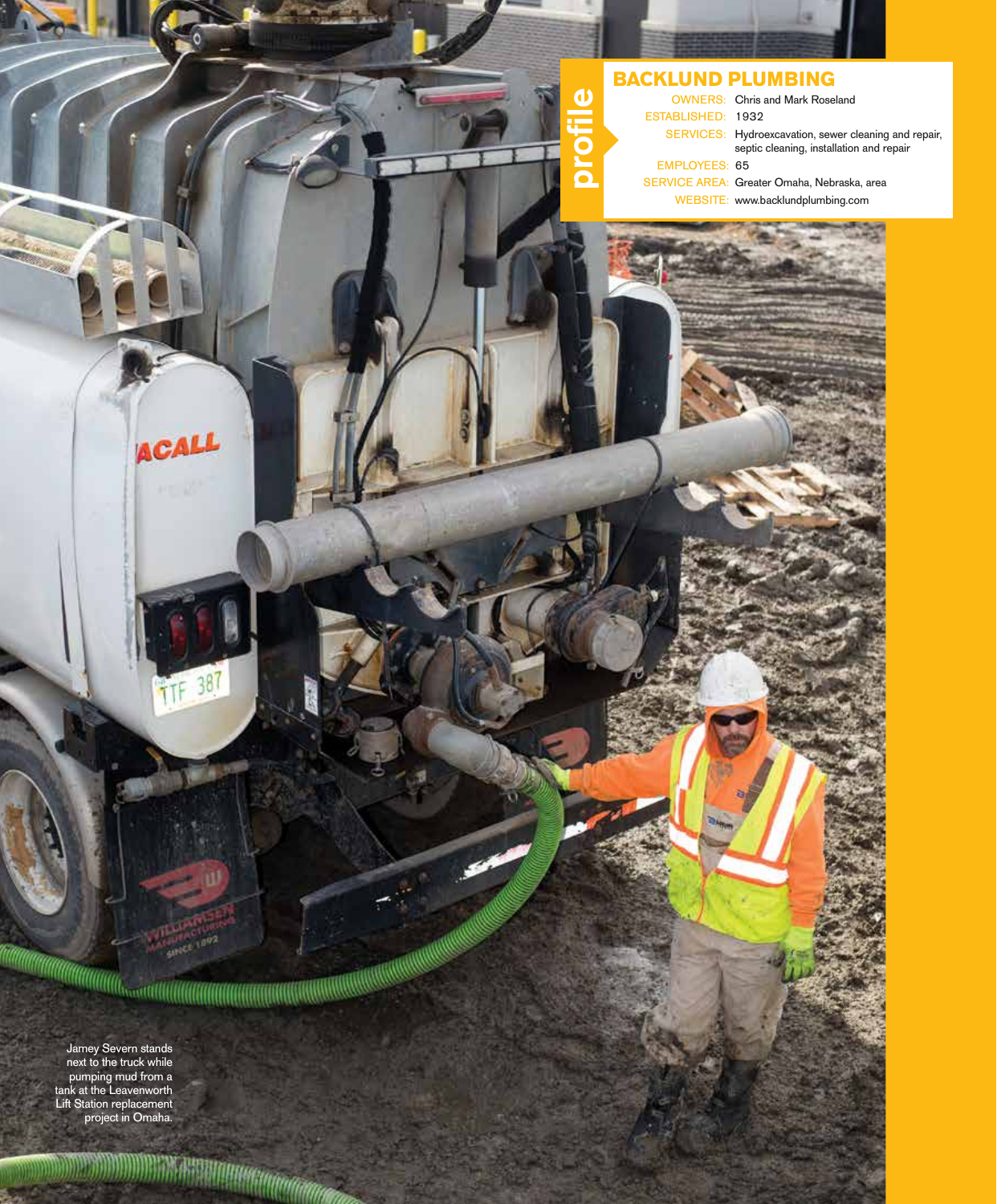#### **BACKLUND PLUMBING**

 $\boldsymbol{\Phi}$ 

OWNERS: Chris and Mark Roseland ESTABLISHED: 1932 SERVICES: Hydroexcavation, sewer cleaning and repair, septic cleaning, installation and repair EMPLOYEES: 65 SERVICE AREA: Greater Omaha, Nebraska, area WEBSITE: www.backlundplumbing.com

Jamey Severn stands next to the truck while pumping mud from a tank at the Leavenworth Lift Station replacement project in Omaha.

ACALL

TTF 387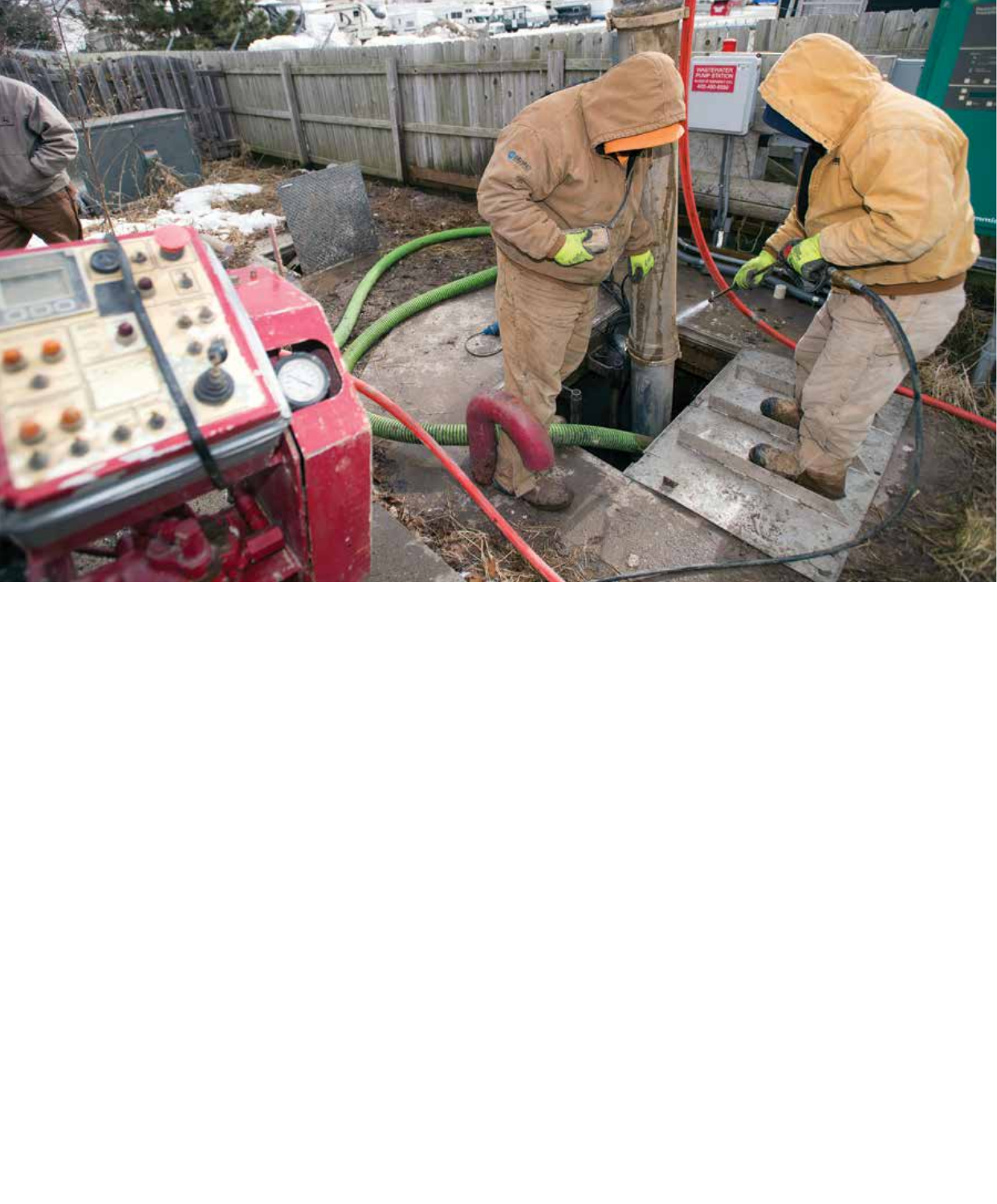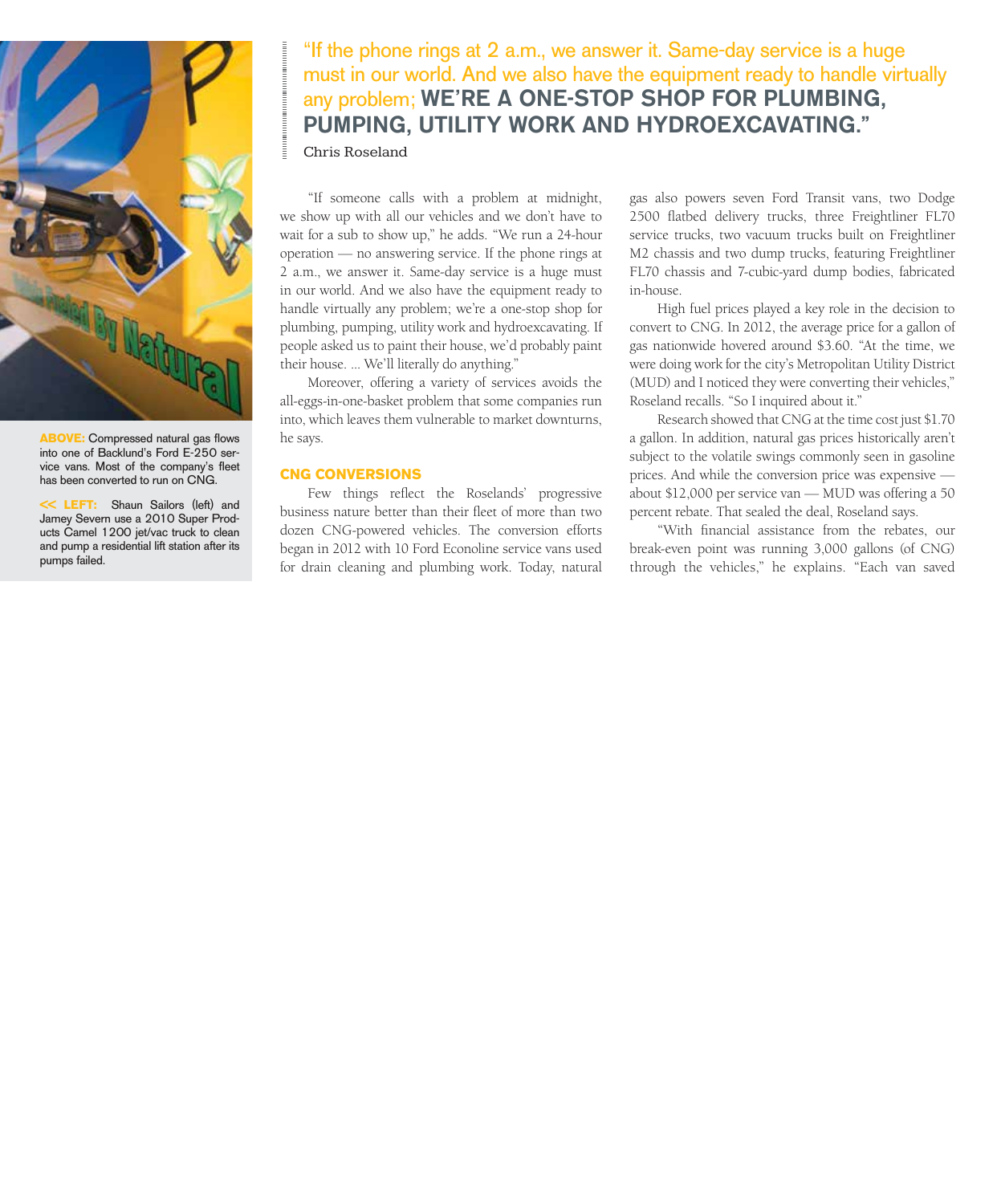

**ABOVE:** Compressed natural gas flows into one of Backlund's Ford E-250 service vans. Most of the company's fleet has been converted to run on CNG.

**<< LEFT:** Shaun Sailors (left) and Jamey Severn use a 2010 Super Products Camel 1200 jet/vac truck to clean and pump a residential lift station after its pumps failed.

### "If the phone rings at 2 a.m., we answer it. Same-day service is a huge must in our world. And we also have the equipment ready to handle virtually any problem; WE'RE A ONE-STOP SHOP FOR PLUMBING, PUMPING, UTILITY WORK AND HYDROEXCAVATING."

Chris Roseland

"If someone calls with a problem at midnight, we show up with all our vehicles and we don't have to wait for a sub to show up," he adds. "We run a 24-hour operation — no answering service. If the phone rings at 2 a.m., we answer it. Same-day service is a huge must in our world. And we also have the equipment ready to handle virtually any problem; we're a one-stop shop for plumbing, pumping, utility work and hydroexcavating. If people asked us to paint their house, we'd probably paint their house. ... We'll literally do anything."

Moreover, offering a variety of services avoids the all-eggs-in-one-basket problem that some companies run into, which leaves them vulnerable to market downturns, he says.

#### **CNG CONVERSIONS**

Few things reflect the Roselands' progressive business nature better than their fleet of more than two dozen CNG-powered vehicles. The conversion efforts began in 2012 with 10 Ford Econoline service vans used for drain cleaning and plumbing work. Today, natural gas also powers seven Ford Transit vans, two Dodge 2500 flatbed delivery trucks, three Freightliner FL70 service trucks, two vacuum trucks built on Freightliner M2 chassis and two dump trucks, featuring Freightliner FL70 chassis and 7-cubic-yard dump bodies, fabricated in-house.

High fuel prices played a key role in the decision to convert to CNG. In 2012, the average price for a gallon of gas nationwide hovered around \$3.60. "At the time, we were doing work for the city's Metropolitan Utility District (MUD) and I noticed they were converting their vehicles," Roseland recalls. "So I inquired about it."

Research showed that CNG at the time cost just \$1.70 a gallon. In addition, natural gas prices historically aren't subject to the volatile swings commonly seen in gasoline prices. And while the conversion price was expensive about \$12,000 per service van — MUD was offering a 50 percent rebate. That sealed the deal, Roseland says.

"With financial assistance from the rebates, our break-even point was running 3,000 gallons (of CNG) through the vehicles," he explains. "Each van saved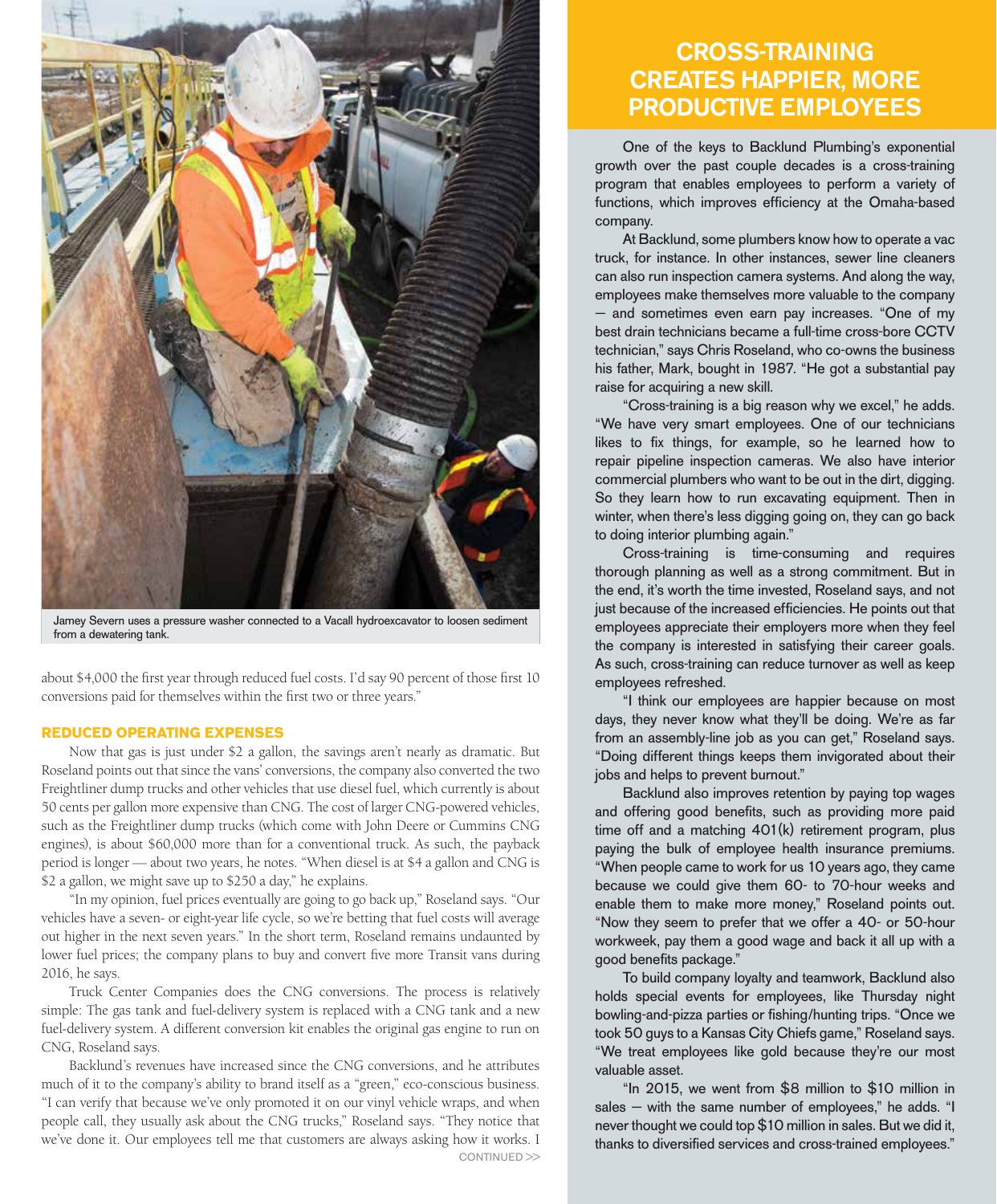

Jamey Severn uses a pressure washer connected to a Vacall hydroexcavator to loosen sediment from a dewatering tank.

about \$4,000 the first year through reduced fuel costs. I'd say 90 percent of those first 10 conversions paid for themselves within the first two or three years."

#### **REDUCED OPERATING EXPENSES**

Now that gas is just under \$2 a gallon, the savings aren't nearly as dramatic. But Roseland points out that since the vans' conversions, the company also converted the two Freightliner dump trucks and other vehicles that use diesel fuel, which currently is about 50 cents per gallon more expensive than CNG. The cost of larger CNG-powered vehicles, such as the Freightliner dump trucks (which come with John Deere or Cummins CNG engines), is about \$60,000 more than for a conventional truck. As such, the payback period is longer — about two years, he notes. "When diesel is at \$4 a gallon and CNG is \$2 a gallon, we might save up to \$250 a day," he explains.

"In my opinion, fuel prices eventually are going to go back up," Roseland says. "Our vehicles have a seven- or eight-year life cycle, so we're betting that fuel costs will average out higher in the next seven years." In the short term, Roseland remains undaunted by lower fuel prices; the company plans to buy and convert five more Transit vans during 2016, he says.

Truck Center Companies does the CNG conversions. The process is relatively simple: The gas tank and fuel-delivery system is replaced with a CNG tank and a new fuel-delivery system. A different conversion kit enables the original gas engine to run on CNG, Roseland says.

Backlund's revenues have increased since the CNG conversions, and he attributes much of it to the company's ability to brand itself as a "green," eco-conscious business. "I can verify that because we've only promoted it on our vinyl vehicle wraps, and when people call, they usually ask about the CNG trucks," Roseland says. "They notice that we've done it. Our employees tell me that customers are always asking how it works. I CONTINUED >>

## CROSS-TRAINING CREATES HAPPIER, MORE PRODUCTIVE EMPLOYEES

One of the keys to Backlund Plumbing's exponential growth over the past couple decades is a cross-training program that enables employees to perform a variety of functions, which improves efficiency at the Omaha-based company.

At Backlund, some plumbers know how to operate a vac truck, for instance. In other instances, sewer line cleaners can also run inspection camera systems. And along the way, employees make themselves more valuable to the company — and sometimes even earn pay increases. "One of my best drain technicians became a full-time cross-bore CCTV technician," says Chris Roseland, who co-owns the business his father, Mark, bought in 1987. "He got a substantial pay raise for acquiring a new skill.

"Cross-training is a big reason why we excel," he adds. "We have very smart employees. One of our technicians likes to fix things, for example, so he learned how to repair pipeline inspection cameras. We also have interior commercial plumbers who want to be out in the dirt, digging. So they learn how to run excavating equipment. Then in winter, when there's less digging going on, they can go back to doing interior plumbing again."

Cross-training is time-consuming and requires thorough planning as well as a strong commitment. But in the end, it's worth the time invested, Roseland says, and not just because of the increased efficiencies. He points out that employees appreciate their employers more when they feel the company is interested in satisfying their career goals. As such, cross-training can reduce turnover as well as keep employees refreshed.

"I think our employees are happier because on most days, they never know what they'll be doing. We're as far from an assembly-line job as you can get," Roseland says. "Doing different things keeps them invigorated about their jobs and helps to prevent burnout."

Backlund also improves retention by paying top wages and offering good benefits, such as providing more paid time off and a matching 401(k) retirement program, plus paying the bulk of employee health insurance premiums. "When people came to work for us 10 years ago, they came because we could give them 60- to 70-hour weeks and enable them to make more money," Roseland points out. "Now they seem to prefer that we offer a 40- or 50-hour workweek, pay them a good wage and back it all up with a good benefits package."

To build company loyalty and teamwork, Backlund also holds special events for employees, like Thursday night bowling-and-pizza parties or fishing/hunting trips. "Once we took 50 guys to a Kansas City Chiefs game," Roseland says. "We treat employees like gold because they're our most valuable asset.

"In 2015, we went from \$8 million to \$10 million in sales — with the same number of employees," he adds. "I never thought we could top \$10 million in sales. But we did it, thanks to diversified services and cross-trained employees."